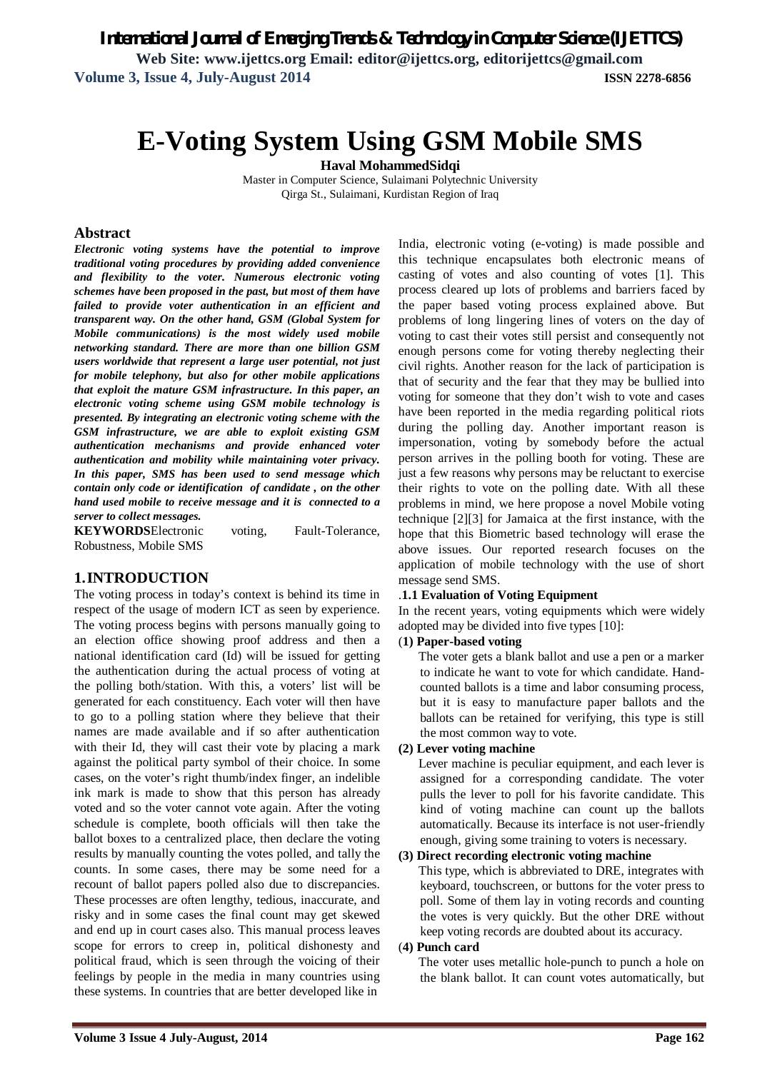# **E-Voting System Using GSM Mobile SMS**

**Haval MohammedSidqi**

Master in Computer Science, Sulaimani Polytechnic University Qirga St., Sulaimani, Kurdistan Region of Iraq

#### **Abstract**

*Electronic voting systems have the potential to improve traditional voting procedures by providing added convenience and flexibility to the voter. Numerous electronic voting schemes have been proposed in the past, but most of them have failed to provide voter authentication in an efficient and transparent way. On the other hand, GSM (Global System for Mobile communications) is the most widely used mobile networking standard. There are more than one billion GSM users worldwide that represent a large user potential, not just for mobile telephony, but also for other mobile applications that exploit the mature GSM infrastructure. In this paper, an electronic voting scheme using GSM mobile technology is presented. By integrating an electronic voting scheme with the GSM infrastructure, we are able to exploit existing GSM authentication mechanisms and provide enhanced voter authentication and mobility while maintaining voter privacy. In this paper, SMS has been used to send message which contain only code or identification of candidate , on the other hand used mobile to receive message and it is connected to a server to collect messages.*

**KEYWORDS**Electronic voting, Fault-Tolerance, Robustness, Mobile SMS

# **1.INTRODUCTION**

The voting process in today's context is behind its time in respect of the usage of modern ICT as seen by experience. The voting process begins with persons manually going to an election office showing proof address and then a national identification card (Id) will be issued for getting the authentication during the actual process of voting at the polling both/station. With this, a voters' list will be generated for each constituency. Each voter will then have to go to a polling station where they believe that their names are made available and if so after authentication with their Id, they will cast their vote by placing a mark against the political party symbol of their choice. In some cases, on the voter's right thumb/index finger, an indelible ink mark is made to show that this person has already voted and so the voter cannot vote again. After the voting schedule is complete, booth officials will then take the ballot boxes to a centralized place, then declare the voting results by manually counting the votes polled, and tally the counts. In some cases, there may be some need for a recount of ballot papers polled also due to discrepancies. These processes are often lengthy, tedious, inaccurate, and risky and in some cases the final count may get skewed and end up in court cases also. This manual process leaves scope for errors to creep in, political dishonesty and political fraud, which is seen through the voicing of their feelings by people in the media in many countries using these systems. In countries that are better developed like in

India, electronic voting (e-voting) is made possible and this technique encapsulates both electronic means of casting of votes and also counting of votes [1]. This process cleared up lots of problems and barriers faced by the paper based voting process explained above. But problems of long lingering lines of voters on the day of voting to cast their votes still persist and consequently not enough persons come for voting thereby neglecting their civil rights. Another reason for the lack of participation is that of security and the fear that they may be bullied into voting for someone that they don't wish to vote and cases have been reported in the media regarding political riots during the polling day. Another important reason is impersonation, voting by somebody before the actual person arrives in the polling booth for voting. These are just a few reasons why persons may be reluctant to exercise their rights to vote on the polling date. With all these problems in mind, we here propose a novel Mobile voting technique [2][3] for Jamaica at the first instance, with the hope that this Biometric based technology will erase the above issues. Our reported research focuses on the application of mobile technology with the use of short message send SMS.

#### .**1.1 Evaluation of Voting Equipment**

In the recent years, voting equipments which were widely adopted may be divided into five types [10]:

#### (**1) Paper-based voting**

 The voter gets a blank ballot and use a pen or a marker to indicate he want to vote for which candidate. Handcounted ballots is a time and labor consuming process, but it is easy to manufacture paper ballots and the ballots can be retained for verifying, this type is still the most common way to vote.

#### **(2) Lever voting machine**

 Lever machine is peculiar equipment, and each lever is assigned for a corresponding candidate. The voter pulls the lever to poll for his favorite candidate. This kind of voting machine can count up the ballots automatically. Because its interface is not user-friendly enough, giving some training to voters is necessary.

#### **(3) Direct recording electronic voting machine**

 This type, which is abbreviated to DRE, integrates with keyboard, touchscreen, or buttons for the voter press to poll. Some of them lay in voting records and counting the votes is very quickly. But the other DRE without keep voting records are doubted about its accuracy.

#### (**4) Punch card**

 The voter uses metallic hole-punch to punch a hole on the blank ballot. It can count votes automatically, but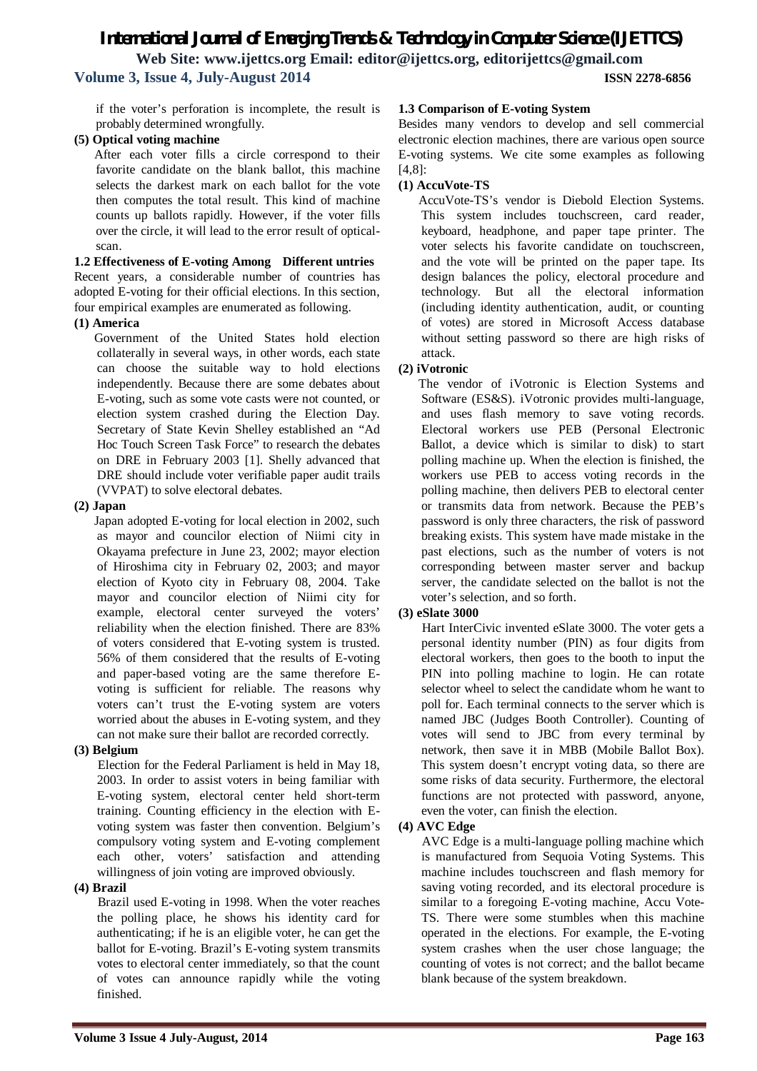if the voter's perforation is incomplete, the result is probably determined wrongfully.

# **(5) Optical voting machine**

 After each voter fills a circle correspond to their favorite candidate on the blank ballot, this machine selects the darkest mark on each ballot for the vote then computes the total result. This kind of machine counts up ballots rapidly. However, if the voter fills over the circle, it will lead to the error result of opticalscan.

#### **1.2 Effectiveness of E-voting Among Different untries**  Recent years, a considerable number of countries has adopted E-voting for their official elections. In this section, four empirical examples are enumerated as following.

#### **(1) America**

 Government of the United States hold election collaterally in several ways, in other words, each state can choose the suitable way to hold elections independently. Because there are some debates about E-voting, such as some vote casts were not counted, or election system crashed during the Election Day. Secretary of State Kevin Shelley established an "Ad Hoc Touch Screen Task Force" to research the debates on DRE in February 2003 [1]. Shelly advanced that DRE should include voter verifiable paper audit trails (VVPAT) to solve electoral debates.

#### **(2) Japan**

 Japan adopted E-voting for local election in 2002, such as mayor and councilor election of Niimi city in Okayama prefecture in June 23, 2002; mayor election of Hiroshima city in February 02, 2003; and mayor election of Kyoto city in February 08, 2004. Take mayor and councilor election of Niimi city for example, electoral center surveyed the voters' reliability when the election finished. There are 83% of voters considered that E-voting system is trusted. 56% of them considered that the results of E-voting and paper-based voting are the same therefore Evoting is sufficient for reliable. The reasons why voters can't trust the E-voting system are voters worried about the abuses in E-voting system, and they can not make sure their ballot are recorded correctly.

#### **(3) Belgium**

 Election for the Federal Parliament is held in May 18, 2003. In order to assist voters in being familiar with E-voting system, electoral center held short-term training. Counting efficiency in the election with Evoting system was faster then convention. Belgium's compulsory voting system and E-voting complement each other, voters' satisfaction and attending willingness of join voting are improved obviously.

#### **(4) Brazil**

 Brazil used E-voting in 1998. When the voter reaches the polling place, he shows his identity card for authenticating; if he is an eligible voter, he can get the ballot for E-voting. Brazil's E-voting system transmits votes to electoral center immediately, so that the count of votes can announce rapidly while the voting finished.

#### **1.3 Comparison of E-voting System**

Besides many vendors to develop and sell commercial electronic election machines, there are various open source E-voting systems. We cite some examples as following [4,8]:

#### **(1) AccuVote-TS**

 AccuVote-TS's vendor is Diebold Election Systems. This system includes touchscreen, card reader, keyboard, headphone, and paper tape printer. The voter selects his favorite candidate on touchscreen, and the vote will be printed on the paper tape. Its design balances the policy, electoral procedure and technology. But all the electoral information (including identity authentication, audit, or counting of votes) are stored in Microsoft Access database without setting password so there are high risks of attack.

# **(2) iVotronic**

 The vendor of iVotronic is Election Systems and Software (ES&S). iVotronic provides multi-language, and uses flash memory to save voting records. Electoral workers use PEB (Personal Electronic Ballot, a device which is similar to disk) to start polling machine up. When the election is finished, the workers use PEB to access voting records in the polling machine, then delivers PEB to electoral center or transmits data from network. Because the PEB's password is only three characters, the risk of password breaking exists. This system have made mistake in the past elections, such as the number of voters is not corresponding between master server and backup server, the candidate selected on the ballot is not the voter's selection, and so forth.

# **(3) eSlate 3000**

 Hart InterCivic invented eSlate 3000. The voter gets a personal identity number (PIN) as four digits from electoral workers, then goes to the booth to input the PIN into polling machine to login. He can rotate selector wheel to select the candidate whom he want to poll for. Each terminal connects to the server which is named JBC (Judges Booth Controller). Counting of votes will send to JBC from every terminal by network, then save it in MBB (Mobile Ballot Box). This system doesn't encrypt voting data, so there are some risks of data security. Furthermore, the electoral functions are not protected with password, anyone, even the voter, can finish the election.

#### **(4) AVC Edge**

 AVC Edge is a multi-language polling machine which is manufactured from Sequoia Voting Systems. This machine includes touchscreen and flash memory for saving voting recorded, and its electoral procedure is similar to a foregoing E-voting machine, Accu Vote-TS. There were some stumbles when this machine operated in the elections. For example, the E-voting system crashes when the user chose language; the counting of votes is not correct; and the ballot became blank because of the system breakdown.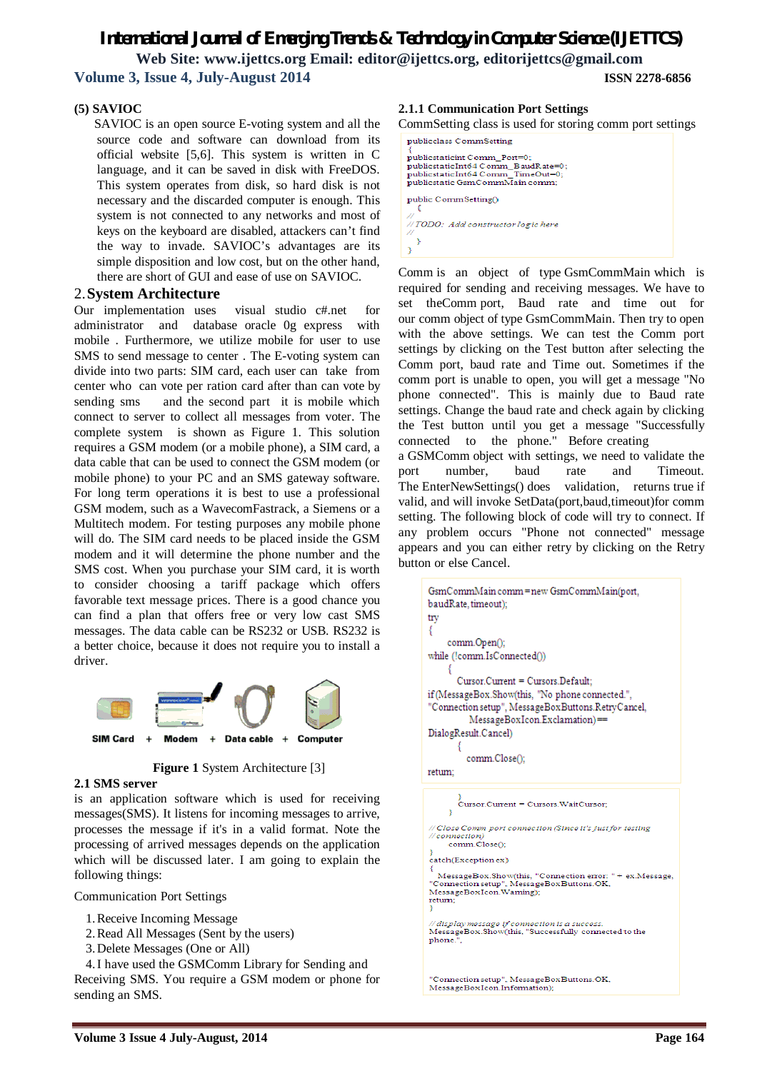þ  $\overline{\mathbf{3}}$ 

# **(5) SAVIOC**

 SAVIOC is an open source E-voting system and all the source code and software can download from its official website [5,6]. This system is written in C language, and it can be saved in disk with FreeDOS. This system operates from disk, so hard disk is not necessary and the discarded computer is enough. This system is not connected to any networks and most of keys on the keyboard are disabled, attackers can't find the way to invade. SAVIOC's advantages are its simple disposition and low cost, but on the other hand, there are short of GUI and ease of use on SAVIOC.

# 2.**System Architecture**

Our implementation uses visual studio c#.net for administrator and database oracle 0g express with mobile . Furthermore, we utilize mobile for user to use SMS to send message to center . The E-voting system can divide into two parts: SIM card, each user can take from center who can vote per ration card after than can vote by sending sms and the second part it is mobile which connect to server to collect all messages from voter. The complete system is shown as Figure 1. This solution requires a GSM modem (or a mobile phone), a SIM card, a data cable that can be used to connect the GSM modem (or mobile phone) to your PC and an SMS gateway software. For long term operations it is best to use a professional GSM modem, such as a WavecomFastrack, a Siemens or a Multitech modem. For testing purposes any mobile phone will do. The SIM card needs to be placed inside the GSM modem and it will determine the phone number and the SMS cost. When you purchase your SIM card, it is worth to consider choosing a tariff package which offers favorable text message prices. There is a good chance you can find a plan that offers free or very low cast SMS messages. The data cable can be RS232 or USB. RS232 is a better choice, because it does not require you to install a driver.



**Figure 1 System Architecture [3]** 

# **2.1 SMS server**

is an application software which is used for receiving messages(SMS). It listens for incoming messages to arrive, processes the message if it's in a valid format. Note the processing of arrived messages depends on the application which will be discussed later. I am going to explain the following things:

Communication Port Settings

- 1.Receive Incoming Message
- 2.Read All Messages (Sent by the users)
- 3.Delete Messages (One or All)

4.I have used the GSMComm Library for Sending and Receiving SMS. You require a GSM modem or phone for sending an SMS.

#### **2.1.1 Communication Port Settings**

CommSetting class is used for storing comm port settings

publicclass CommSetting publicstaticint Comm\_Port=0; publicstaticmt Comm\_Port=0;<br>publicstaticImt64 Comm\_BaudRate=0;<br>publicstaticImt64 Comm\_TimeOut=0;<br>publicstatic GsmCommMain comm; public CommSetting() // TODO: Add constructor logic here

Comm is an object of type GsmCommMain which is required for sending and receiving messages. We have to set theComm port, Baud rate and time out for our comm object of type GsmCommMain. Then try to open with the above settings. We can test the Comm port settings by clicking on the Test button after selecting the Comm port, baud rate and Time out. Sometimes if the comm port is unable to open, you will get a message "No phone connected". This is mainly due to Baud rate settings. Change the baud rate and check again by clicking the Test button until you get a message "Successfully connected to the phone." Before creating

a GSMComm object with settings, we need to validate the port number, baud rate and Timeout. The EnterNewSettings() does validation, returns true if valid, and will invoke SetData(port,baud,timeout)for comm setting. The following block of code will try to connect. If any problem occurs "Phone not connected" message appears and you can either retry by clicking on the Retry button or else Cancel.

```
GsmCommMain comm=new GsmCommMain(port,
baudRate, timeout);
try
₹
     comm.Open();
while (!comm.IsConnected())
     ł
        Cursor.Current = Cursors.Default;
if (MessageBox.Show(this, "No phone connected.",
"Connection setup", MessageBoxButtons.RetryCancel,
           MessageBoxIcon.Exclamation)==
DialogResult.Cancel)
           comm.Close();
return:
         ,<br>Cursor.Current = Cursors.WaitCursor:
      \overline{\mathbf{3}}Close Comm port connection (Since it's just for testing
//connection)
     comm.Close():
 ,<br>catch(Exception ex)
   MessageBox.Show(this, "Connection error: "
                                                       + ex. Message.
NessageBox.smow(tins, Connection enor.<br>
"Connection setup", MessageBoxButtons.OK,<br>
MessageBoxIcon.Waming);<br>
retum;
://display.message if connection is a success.<br>MessageBox.Show(this, "Successfully_connected to the
phone.".
 'Connection setup", MessageBoxButtons.OK.
MessageBoxIcon.Information);
```